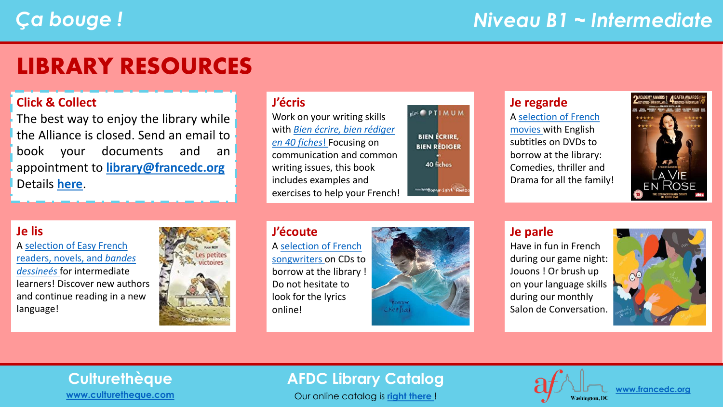## LIBRARY RESOURCES

#### **Click & Collect**

The best way to enjoy the library while the Alliance is closed. Send an email to book your documents and an appointment to **[library@francedc.org](mailto:library@francedc.org)** Details **[here](https://francedc.org/Click_and_Collect_Service)**.

#### **J'écris**

Work on your writing skills with *[Bien écrire, bien rédiger](https://librarycatalog.francedc.org/index.php?lvl=notice_display&id=15240)  en 40 fiches*! Focusing on communication and common writing issues, this book includes examples and exercises to help your French! **RLOCK** PTIMUM **BIEN ÉCRIRE. BIEN RÉDIGER** 40 fiches Am Willepyright Am

#### **Je regarde**

A [selection of French](https://librarycatalog.francedc.org/index.php?lvl=cmspage&pageid=6&id_rubrique=114)  [movies](https://librarycatalog.francedc.org/index.php?lvl=cmspage&pageid=6&id_rubrique=114) with English subtitles on DVDs to borrow at the library: Comedies, thriller and Drama for all the family!



#### **Je lis**

[A selection of Easy French](https://librarycatalog.francedc.org/index.php?lvl=cmspage&pageid=6&id_rubrique=115)  readers, novels, and *bandes dessineés* for intermediate learners! Discover new authors and continue reading in a new language!



#### **J'écoute** A [selection of French](https://librarycatalog.francedc.org/index.php?lvl=cmspage&pageid=6&id_rubrique=116) [songwriters](https://librarycatalog.francedc.org/index.php?lvl=cmspage&pageid=6&id_rubrique=116) on CDs to borrow at the library ! Do not hesitate to look for the lyrics online!



#### **Je parle**

Have in fun in French during our game night: Jouons ! Or brush up on your language skills during our monthly Salon de Conversation.



# **[www.culturetheque.com](https://www.culturetheque.com/US/accueil-portal.aspx)**

### **Culturethèque AFDC Library Catalog**

Our online catalog is **[right there](http://librarycatalog.francedc.org/opac/)** !